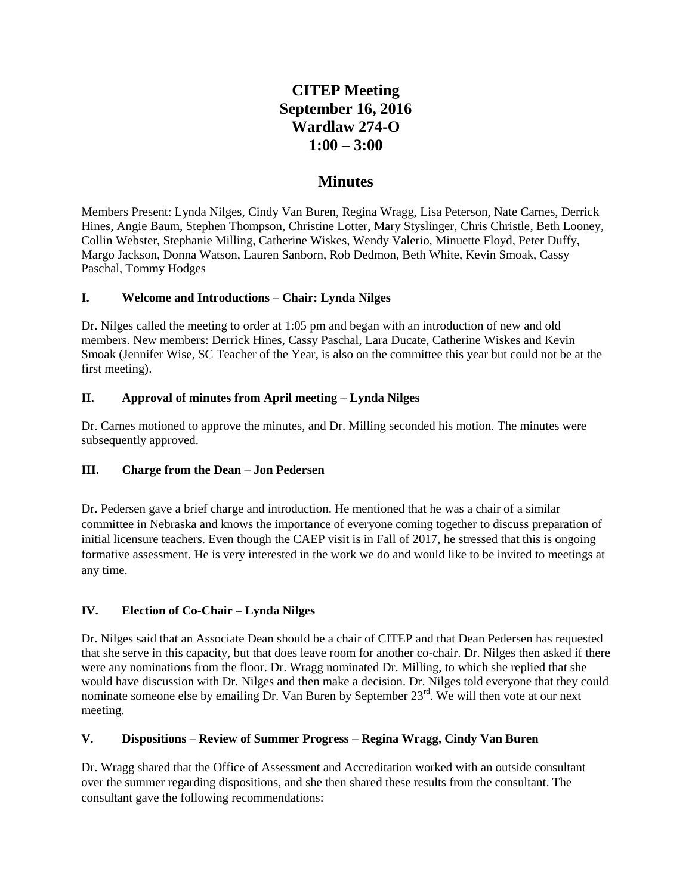# **CITEP Meeting September 16, 2016 Wardlaw 274-O 1:00 – 3:00**

## **Minutes**

Members Present: Lynda Nilges, Cindy Van Buren, Regina Wragg, Lisa Peterson, Nate Carnes, Derrick Hines, Angie Baum, Stephen Thompson, Christine Lotter, Mary Styslinger, Chris Christle, Beth Looney, Collin Webster, Stephanie Milling, Catherine Wiskes, Wendy Valerio, Minuette Floyd, Peter Duffy, Margo Jackson, Donna Watson, Lauren Sanborn, Rob Dedmon, Beth White, Kevin Smoak, Cassy Paschal, Tommy Hodges

#### **I. Welcome and Introductions – Chair: Lynda Nilges**

Dr. Nilges called the meeting to order at 1:05 pm and began with an introduction of new and old members. New members: Derrick Hines, Cassy Paschal, Lara Ducate, Catherine Wiskes and Kevin Smoak (Jennifer Wise, SC Teacher of the Year, is also on the committee this year but could not be at the first meeting).

#### **II. Approval of minutes from April meeting – Lynda Nilges**

Dr. Carnes motioned to approve the minutes, and Dr. Milling seconded his motion. The minutes were subsequently approved.

## **III. Charge from the Dean – Jon Pedersen**

Dr. Pedersen gave a brief charge and introduction. He mentioned that he was a chair of a similar committee in Nebraska and knows the importance of everyone coming together to discuss preparation of initial licensure teachers. Even though the CAEP visit is in Fall of 2017, he stressed that this is ongoing formative assessment. He is very interested in the work we do and would like to be invited to meetings at any time.

## **IV. Election of Co-Chair – Lynda Nilges**

Dr. Nilges said that an Associate Dean should be a chair of CITEP and that Dean Pedersen has requested that she serve in this capacity, but that does leave room for another co-chair. Dr. Nilges then asked if there were any nominations from the floor. Dr. Wragg nominated Dr. Milling, to which she replied that she would have discussion with Dr. Nilges and then make a decision. Dr. Nilges told everyone that they could nominate someone else by emailing Dr. Van Buren by September 23<sup>rd</sup>. We will then vote at our next meeting.

## **V. Dispositions – Review of Summer Progress – Regina Wragg, Cindy Van Buren**

Dr. Wragg shared that the Office of Assessment and Accreditation worked with an outside consultant over the summer regarding dispositions, and she then shared these results from the consultant. The consultant gave the following recommendations: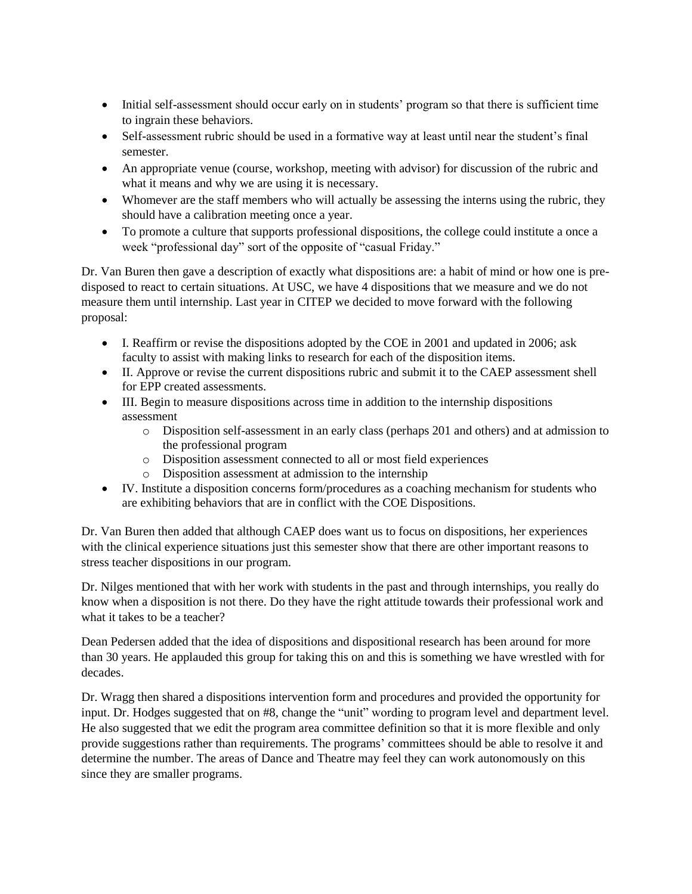- Initial self-assessment should occur early on in students' program so that there is sufficient time to ingrain these behaviors.
- Self-assessment rubric should be used in a formative way at least until near the student's final semester.
- An appropriate venue (course, workshop, meeting with advisor) for discussion of the rubric and what it means and why we are using it is necessary.
- Whomever are the staff members who will actually be assessing the interns using the rubric, they should have a calibration meeting once a year.
- To promote a culture that supports professional dispositions, the college could institute a once a week "professional day" sort of the opposite of "casual Friday."

Dr. Van Buren then gave a description of exactly what dispositions are: a habit of mind or how one is predisposed to react to certain situations. At USC, we have 4 dispositions that we measure and we do not measure them until internship. Last year in CITEP we decided to move forward with the following proposal:

- I. Reaffirm or revise the dispositions adopted by the COE in 2001 and updated in 2006; ask faculty to assist with making links to research for each of the disposition items.
- II. Approve or revise the current dispositions rubric and submit it to the CAEP assessment shell for EPP created assessments.
- III. Begin to measure dispositions across time in addition to the internship dispositions assessment
	- o Disposition self-assessment in an early class (perhaps 201 and others) and at admission to the professional program
	- o Disposition assessment connected to all or most field experiences
	- o Disposition assessment at admission to the internship
- IV. Institute a disposition concerns form/procedures as a coaching mechanism for students who are exhibiting behaviors that are in conflict with the COE Dispositions.

Dr. Van Buren then added that although CAEP does want us to focus on dispositions, her experiences with the clinical experience situations just this semester show that there are other important reasons to stress teacher dispositions in our program.

Dr. Nilges mentioned that with her work with students in the past and through internships, you really do know when a disposition is not there. Do they have the right attitude towards their professional work and what it takes to be a teacher?

Dean Pedersen added that the idea of dispositions and dispositional research has been around for more than 30 years. He applauded this group for taking this on and this is something we have wrestled with for decades.

Dr. Wragg then shared a dispositions intervention form and procedures and provided the opportunity for input. Dr. Hodges suggested that on #8, change the "unit" wording to program level and department level. He also suggested that we edit the program area committee definition so that it is more flexible and only provide suggestions rather than requirements. The programs' committees should be able to resolve it and determine the number. The areas of Dance and Theatre may feel they can work autonomously on this since they are smaller programs.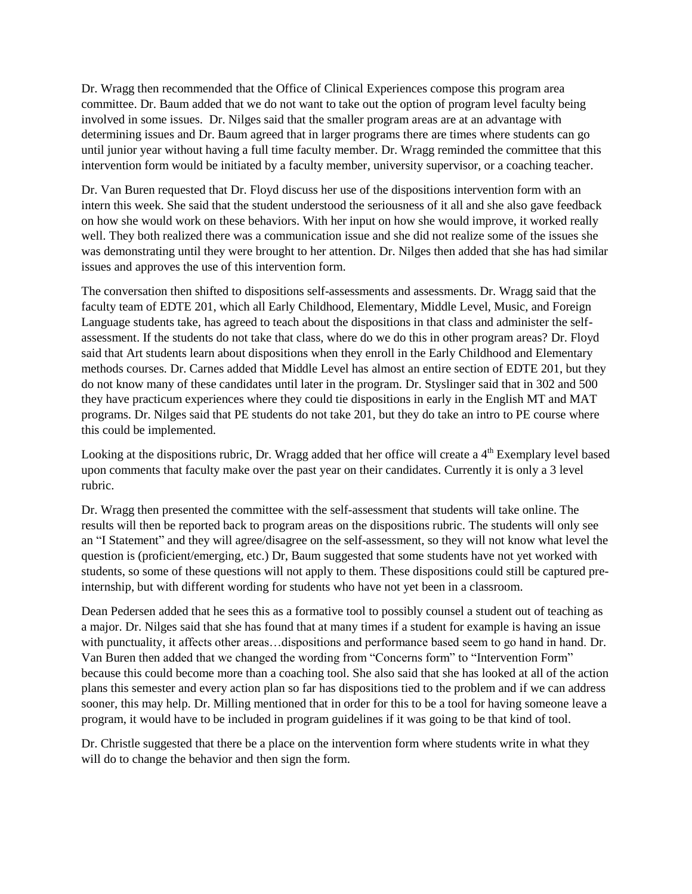Dr. Wragg then recommended that the Office of Clinical Experiences compose this program area committee. Dr. Baum added that we do not want to take out the option of program level faculty being involved in some issues. Dr. Nilges said that the smaller program areas are at an advantage with determining issues and Dr. Baum agreed that in larger programs there are times where students can go until junior year without having a full time faculty member. Dr. Wragg reminded the committee that this intervention form would be initiated by a faculty member, university supervisor, or a coaching teacher.

Dr. Van Buren requested that Dr. Floyd discuss her use of the dispositions intervention form with an intern this week. She said that the student understood the seriousness of it all and she also gave feedback on how she would work on these behaviors. With her input on how she would improve, it worked really well. They both realized there was a communication issue and she did not realize some of the issues she was demonstrating until they were brought to her attention. Dr. Nilges then added that she has had similar issues and approves the use of this intervention form.

The conversation then shifted to dispositions self-assessments and assessments. Dr. Wragg said that the faculty team of EDTE 201, which all Early Childhood, Elementary, Middle Level, Music, and Foreign Language students take, has agreed to teach about the dispositions in that class and administer the selfassessment. If the students do not take that class, where do we do this in other program areas? Dr. Floyd said that Art students learn about dispositions when they enroll in the Early Childhood and Elementary methods courses. Dr. Carnes added that Middle Level has almost an entire section of EDTE 201, but they do not know many of these candidates until later in the program. Dr. Styslinger said that in 302 and 500 they have practicum experiences where they could tie dispositions in early in the English MT and MAT programs. Dr. Nilges said that PE students do not take 201, but they do take an intro to PE course where this could be implemented.

Looking at the dispositions rubric, Dr. Wragg added that her office will create a  $4<sup>th</sup>$  Exemplary level based upon comments that faculty make over the past year on their candidates. Currently it is only a 3 level rubric.

Dr. Wragg then presented the committee with the self-assessment that students will take online. The results will then be reported back to program areas on the dispositions rubric. The students will only see an "I Statement" and they will agree/disagree on the self-assessment, so they will not know what level the question is (proficient/emerging, etc.) Dr, Baum suggested that some students have not yet worked with students, so some of these questions will not apply to them. These dispositions could still be captured preinternship, but with different wording for students who have not yet been in a classroom.

Dean Pedersen added that he sees this as a formative tool to possibly counsel a student out of teaching as a major. Dr. Nilges said that she has found that at many times if a student for example is having an issue with punctuality, it affects other areas...dispositions and performance based seem to go hand in hand. Dr. Van Buren then added that we changed the wording from "Concerns form" to "Intervention Form" because this could become more than a coaching tool. She also said that she has looked at all of the action plans this semester and every action plan so far has dispositions tied to the problem and if we can address sooner, this may help. Dr. Milling mentioned that in order for this to be a tool for having someone leave a program, it would have to be included in program guidelines if it was going to be that kind of tool.

Dr. Christle suggested that there be a place on the intervention form where students write in what they will do to change the behavior and then sign the form.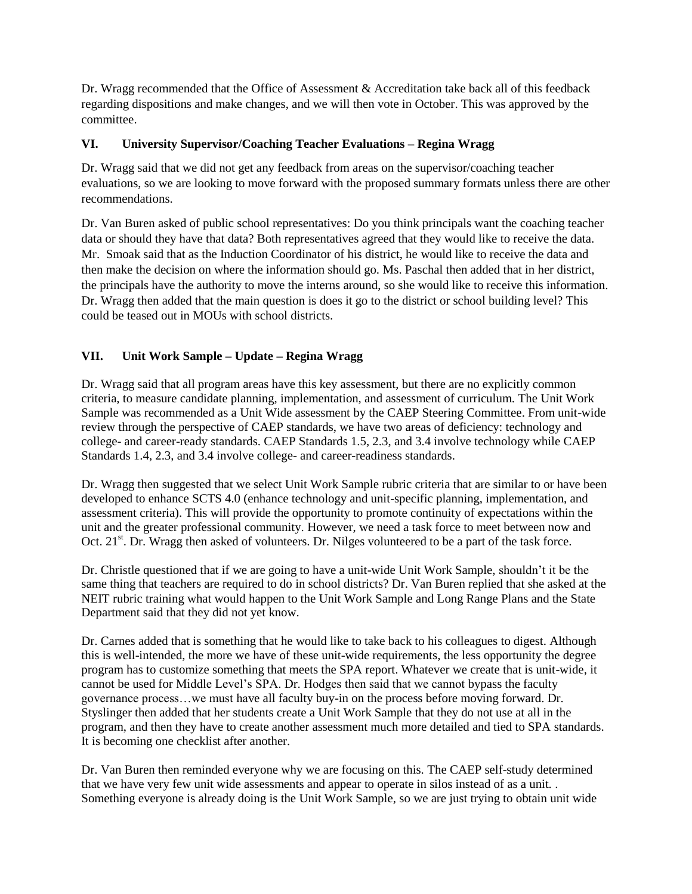Dr. Wragg recommended that the Office of Assessment & Accreditation take back all of this feedback regarding dispositions and make changes, and we will then vote in October. This was approved by the committee.

#### **VI. University Supervisor/Coaching Teacher Evaluations – Regina Wragg**

Dr. Wragg said that we did not get any feedback from areas on the supervisor/coaching teacher evaluations, so we are looking to move forward with the proposed summary formats unless there are other recommendations.

Dr. Van Buren asked of public school representatives: Do you think principals want the coaching teacher data or should they have that data? Both representatives agreed that they would like to receive the data. Mr. Smoak said that as the Induction Coordinator of his district, he would like to receive the data and then make the decision on where the information should go. Ms. Paschal then added that in her district, the principals have the authority to move the interns around, so she would like to receive this information. Dr. Wragg then added that the main question is does it go to the district or school building level? This could be teased out in MOUs with school districts.

## **VII. Unit Work Sample – Update – Regina Wragg**

Dr. Wragg said that all program areas have this key assessment, but there are no explicitly common criteria, to measure candidate planning, implementation, and assessment of curriculum. The Unit Work Sample was recommended as a Unit Wide assessment by the CAEP Steering Committee. From unit-wide review through the perspective of CAEP standards, we have two areas of deficiency: technology and college- and career-ready standards. CAEP Standards 1.5, 2.3, and 3.4 involve technology while CAEP Standards 1.4, 2.3, and 3.4 involve college- and career-readiness standards.

Dr. Wragg then suggested that we select Unit Work Sample rubric criteria that are similar to or have been developed to enhance SCTS 4.0 (enhance technology and unit-specific planning, implementation, and assessment criteria). This will provide the opportunity to promote continuity of expectations within the unit and the greater professional community. However, we need a task force to meet between now and Oct.  $21<sup>st</sup>$ . Dr. Wragg then asked of volunteers. Dr. Nilges volunteered to be a part of the task force.

Dr. Christle questioned that if we are going to have a unit-wide Unit Work Sample, shouldn't it be the same thing that teachers are required to do in school districts? Dr. Van Buren replied that she asked at the NEIT rubric training what would happen to the Unit Work Sample and Long Range Plans and the State Department said that they did not yet know.

Dr. Carnes added that is something that he would like to take back to his colleagues to digest. Although this is well-intended, the more we have of these unit-wide requirements, the less opportunity the degree program has to customize something that meets the SPA report. Whatever we create that is unit-wide, it cannot be used for Middle Level's SPA. Dr. Hodges then said that we cannot bypass the faculty governance process…we must have all faculty buy-in on the process before moving forward. Dr. Styslinger then added that her students create a Unit Work Sample that they do not use at all in the program, and then they have to create another assessment much more detailed and tied to SPA standards. It is becoming one checklist after another.

Dr. Van Buren then reminded everyone why we are focusing on this. The CAEP self-study determined that we have very few unit wide assessments and appear to operate in silos instead of as a unit. . Something everyone is already doing is the Unit Work Sample, so we are just trying to obtain unit wide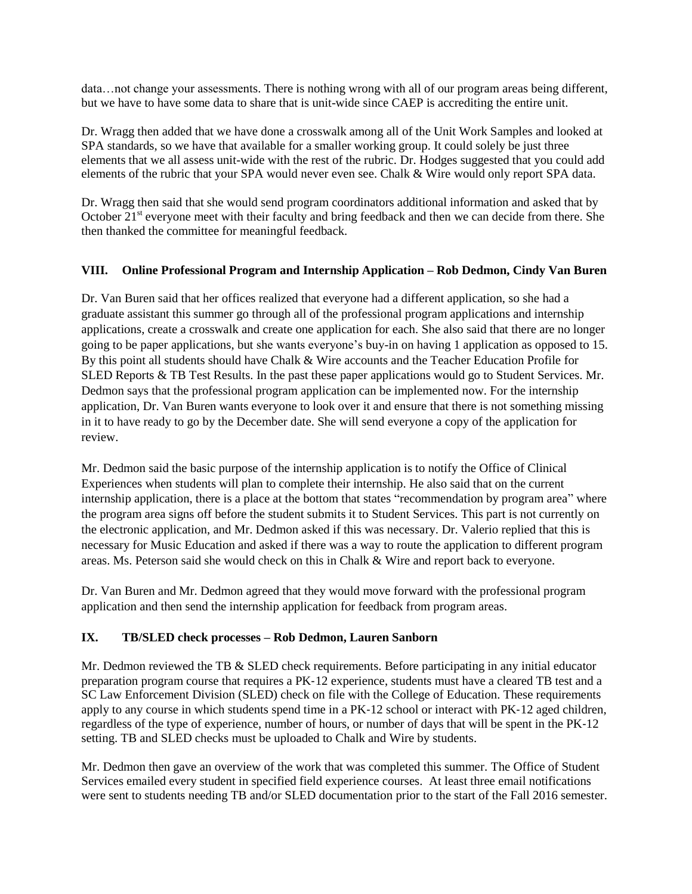data…not change your assessments. There is nothing wrong with all of our program areas being different, but we have to have some data to share that is unit-wide since CAEP is accrediting the entire unit.

Dr. Wragg then added that we have done a crosswalk among all of the Unit Work Samples and looked at SPA standards, so we have that available for a smaller working group. It could solely be just three elements that we all assess unit-wide with the rest of the rubric. Dr. Hodges suggested that you could add elements of the rubric that your SPA would never even see. Chalk & Wire would only report SPA data.

Dr. Wragg then said that she would send program coordinators additional information and asked that by October 21<sup>st</sup> everyone meet with their faculty and bring feedback and then we can decide from there. She then thanked the committee for meaningful feedback.

#### **VIII. Online Professional Program and Internship Application – Rob Dedmon, Cindy Van Buren**

Dr. Van Buren said that her offices realized that everyone had a different application, so she had a graduate assistant this summer go through all of the professional program applications and internship applications, create a crosswalk and create one application for each. She also said that there are no longer going to be paper applications, but she wants everyone's buy-in on having 1 application as opposed to 15. By this point all students should have Chalk & Wire accounts and the Teacher Education Profile for SLED Reports & TB Test Results. In the past these paper applications would go to Student Services. Mr. Dedmon says that the professional program application can be implemented now. For the internship application, Dr. Van Buren wants everyone to look over it and ensure that there is not something missing in it to have ready to go by the December date. She will send everyone a copy of the application for review.

Mr. Dedmon said the basic purpose of the internship application is to notify the Office of Clinical Experiences when students will plan to complete their internship. He also said that on the current internship application, there is a place at the bottom that states "recommendation by program area" where the program area signs off before the student submits it to Student Services. This part is not currently on the electronic application, and Mr. Dedmon asked if this was necessary. Dr. Valerio replied that this is necessary for Music Education and asked if there was a way to route the application to different program areas. Ms. Peterson said she would check on this in Chalk & Wire and report back to everyone.

Dr. Van Buren and Mr. Dedmon agreed that they would move forward with the professional program application and then send the internship application for feedback from program areas.

#### **IX. TB/SLED check processes – Rob Dedmon, Lauren Sanborn**

Mr. Dedmon reviewed the TB & SLED check requirements. Before participating in any initial educator preparation program course that requires a PK‐12 experience, students must have a cleared TB test and a SC Law Enforcement Division (SLED) check on file with the College of Education. These requirements apply to any course in which students spend time in a PK‐12 school or interact with PK‐12 aged children, regardless of the type of experience, number of hours, or number of days that will be spent in the PK‐12 setting. TB and SLED checks must be uploaded to Chalk and Wire by students.

Mr. Dedmon then gave an overview of the work that was completed this summer. The Office of Student Services emailed every student in specified field experience courses. At least three email notifications were sent to students needing TB and/or SLED documentation prior to the start of the Fall 2016 semester.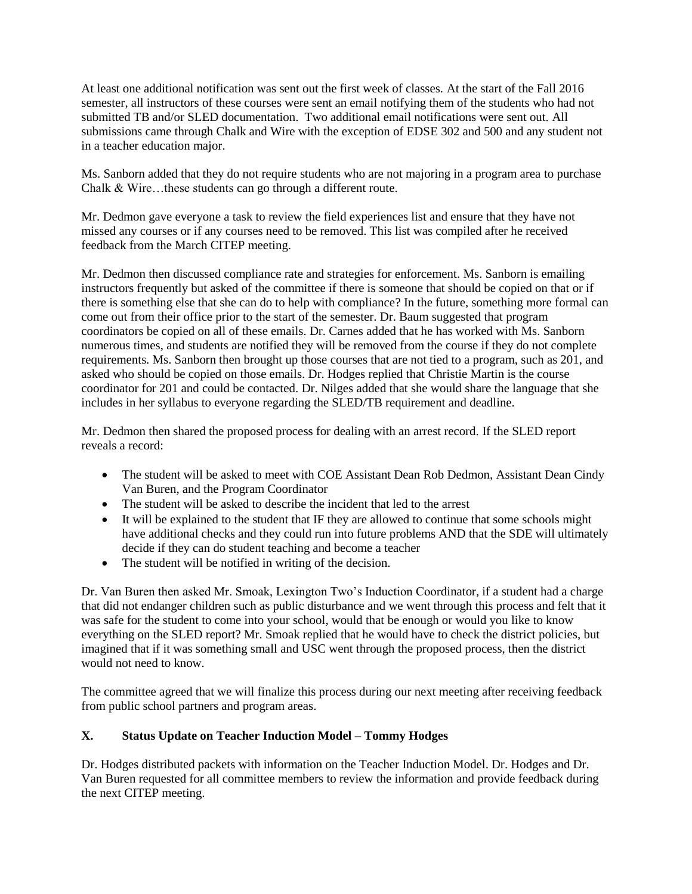At least one additional notification was sent out the first week of classes. At the start of the Fall 2016 semester, all instructors of these courses were sent an email notifying them of the students who had not submitted TB and/or SLED documentation. Two additional email notifications were sent out. All submissions came through Chalk and Wire with the exception of EDSE 302 and 500 and any student not in a teacher education major.

Ms. Sanborn added that they do not require students who are not majoring in a program area to purchase Chalk & Wire…these students can go through a different route.

Mr. Dedmon gave everyone a task to review the field experiences list and ensure that they have not missed any courses or if any courses need to be removed. This list was compiled after he received feedback from the March CITEP meeting.

Mr. Dedmon then discussed compliance rate and strategies for enforcement. Ms. Sanborn is emailing instructors frequently but asked of the committee if there is someone that should be copied on that or if there is something else that she can do to help with compliance? In the future, something more formal can come out from their office prior to the start of the semester. Dr. Baum suggested that program coordinators be copied on all of these emails. Dr. Carnes added that he has worked with Ms. Sanborn numerous times, and students are notified they will be removed from the course if they do not complete requirements. Ms. Sanborn then brought up those courses that are not tied to a program, such as 201, and asked who should be copied on those emails. Dr. Hodges replied that Christie Martin is the course coordinator for 201 and could be contacted. Dr. Nilges added that she would share the language that she includes in her syllabus to everyone regarding the SLED/TB requirement and deadline.

Mr. Dedmon then shared the proposed process for dealing with an arrest record. If the SLED report reveals a record:

- The student will be asked to meet with COE Assistant Dean Rob Dedmon, Assistant Dean Cindy Van Buren, and the Program Coordinator
- The student will be asked to describe the incident that led to the arrest
- It will be explained to the student that IF they are allowed to continue that some schools might have additional checks and they could run into future problems AND that the SDE will ultimately decide if they can do student teaching and become a teacher
- The student will be notified in writing of the decision.

Dr. Van Buren then asked Mr. Smoak, Lexington Two's Induction Coordinator, if a student had a charge that did not endanger children such as public disturbance and we went through this process and felt that it was safe for the student to come into your school, would that be enough or would you like to know everything on the SLED report? Mr. Smoak replied that he would have to check the district policies, but imagined that if it was something small and USC went through the proposed process, then the district would not need to know.

The committee agreed that we will finalize this process during our next meeting after receiving feedback from public school partners and program areas.

## **X. Status Update on Teacher Induction Model – Tommy Hodges**

Dr. Hodges distributed packets with information on the Teacher Induction Model. Dr. Hodges and Dr. Van Buren requested for all committee members to review the information and provide feedback during the next CITEP meeting.